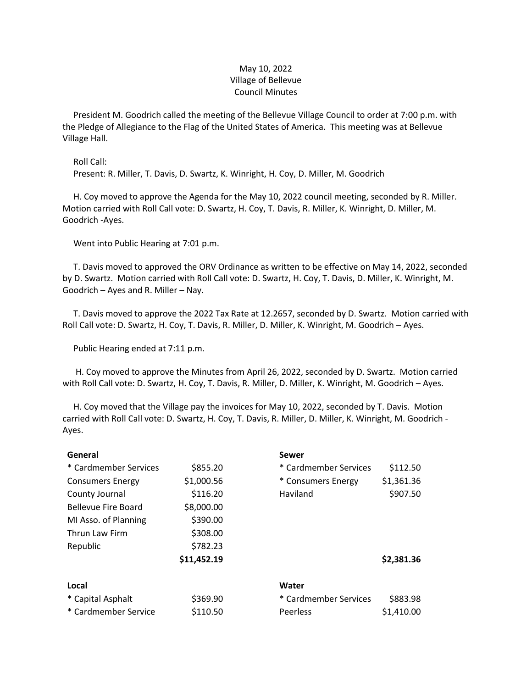## May 10, 2022 Village of Bellevue Council Minutes

 President M. Goodrich called the meeting of the Bellevue Village Council to order at 7:00 p.m. with the Pledge of Allegiance to the Flag of the United States of America. This meeting was at Bellevue Village Hall.

Roll Call:

Present: R. Miller, T. Davis, D. Swartz, K. Winright, H. Coy, D. Miller, M. Goodrich

 H. Coy moved to approve the Agenda for the May 10, 2022 council meeting, seconded by R. Miller. Motion carried with Roll Call vote: D. Swartz, H. Coy, T. Davis, R. Miller, K. Winright, D. Miller, M. Goodrich -Ayes.

Went into Public Hearing at 7:01 p.m.

 T. Davis moved to approved the ORV Ordinance as written to be effective on May 14, 2022, seconded by D. Swartz. Motion carried with Roll Call vote: D. Swartz, H. Coy, T. Davis, D. Miller, K. Winright, M. Goodrich – Ayes and R. Miller – Nay.

 T. Davis moved to approve the 2022 Tax Rate at 12.2657, seconded by D. Swartz. Motion carried with Roll Call vote: D. Swartz, H. Coy, T. Davis, R. Miller, D. Miller, K. Winright, M. Goodrich – Ayes.

Public Hearing ended at 7:11 p.m.

 H. Coy moved to approve the Minutes from April 26, 2022, seconded by D. Swartz. Motion carried with Roll Call vote: D. Swartz, H. Coy, T. Davis, R. Miller, D. Miller, K. Winright, M. Goodrich – Ayes.

 H. Coy moved that the Village pay the invoices for May 10, 2022, seconded by T. Davis. Motion carried with Roll Call vote: D. Swartz, H. Coy, T. Davis, R. Miller, D. Miller, K. Winright, M. Goodrich - Ayes.

| General                    |             | Sewer                 |            |
|----------------------------|-------------|-----------------------|------------|
| * Cardmember Services      | \$855.20    | * Cardmember Services | \$112.50   |
| <b>Consumers Energy</b>    | \$1,000.56  | * Consumers Energy    | \$1,361.36 |
| County Journal             | \$116.20    | Haviland              | \$907.50   |
| <b>Bellevue Fire Board</b> | \$8,000.00  |                       |            |
| MI Asso. of Planning       | \$390.00    |                       |            |
| Thrun Law Firm             | \$308.00    |                       |            |
| Republic                   | \$782.23    |                       |            |
|                            | \$11,452.19 |                       | \$2,381.36 |
| Local                      |             | Water                 |            |
| * Capital Asphalt          | \$369.90    | * Cardmember Services | \$883.98   |
| * Cardmember Service       | \$110.50    | Peerless              | \$1,410.00 |